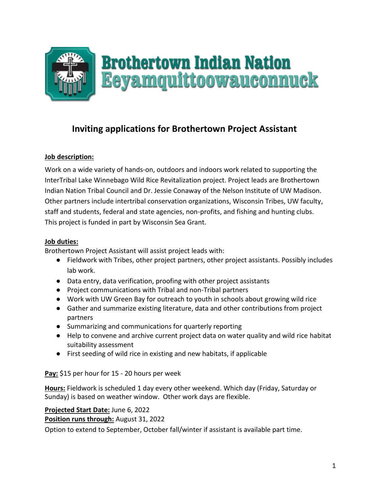

# **Inviting applications for Brothertown Project Assistant**

# **Job description:**

Work on a wide variety of hands-on, outdoors and indoors work related to supporting the InterTribal Lake Winnebago Wild Rice Revitalization project. Project leads are Brothertown Indian Nation Tribal Council and Dr. Jessie Conaway of the Nelson Institute of UW Madison. Other partners include intertribal conservation organizations, Wisconsin Tribes, UW faculty, staff and students, federal and state agencies, non-profits, and fishing and hunting clubs. This project is funded in part by Wisconsin Sea Grant.

#### **Job duties:**

Brothertown Project Assistant will assist project leads with:

- Fieldwork with Tribes, other project partners, other project assistants. Possibly includes lab work.
- Data entry, data verification, proofing with other project assistants
- Project communications with Tribal and non-Tribal partners
- Work with UW Green Bay for outreach to youth in schools about growing wild rice
- Gather and summarize existing literature, data and other contributions from project partners
- Summarizing and communications for quarterly reporting
- Help to convene and archive current project data on water quality and wild rice habitat suitability assessment
- First seeding of wild rice in existing and new habitats, if applicable

**Pay:** \$15 per hour for 15 - 20 hours per week

**Hours:** Fieldwork is scheduled 1 day every other weekend. Which day (Friday, Saturday or Sunday) is based on weather window. Other work days are flexible.

### **Projected Start Date:** June 6, 2022

**Position runs through:** August 31, 2022

Option to extend to September, October fall/winter if assistant is available part time.